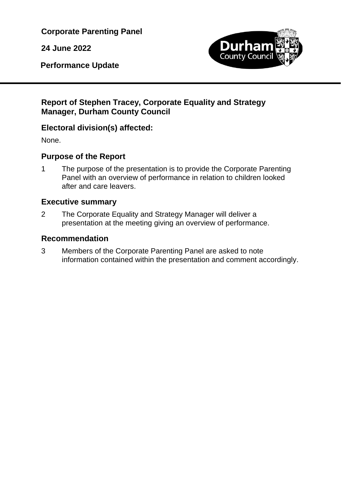**Corporate Parenting Panel**

**24 June 2022**

**Performance Update**



## **Report of Stephen Tracey, Corporate Equality and Strategy Manager, Durham County Council**

## **Electoral division(s) affected:**

None.

# **Purpose of the Report**

1 The purpose of the presentation is to provide the Corporate Parenting Panel with an overview of performance in relation to children looked after and care leavers.

# **Executive summary**

2 The Corporate Equality and Strategy Manager will deliver a presentation at the meeting giving an overview of performance.

# **Recommendation**

3 Members of the Corporate Parenting Panel are asked to note information contained within the presentation and comment accordingly.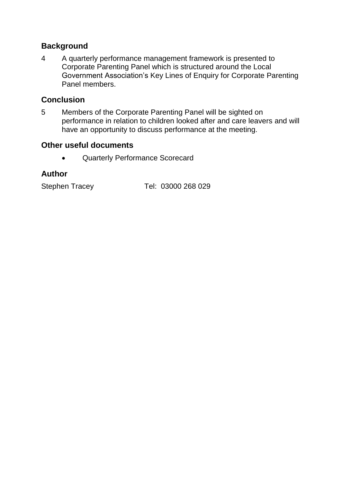#### **Background**

4 A quarterly performance management framework is presented to Corporate Parenting Panel which is structured around the Local Government Association's Key Lines of Enquiry for Corporate Parenting Panel members.

#### **Conclusion**

5 Members of the Corporate Parenting Panel will be sighted on performance in relation to children looked after and care leavers and will have an opportunity to discuss performance at the meeting.

#### **Other useful documents**

Quarterly Performance Scorecard

#### **Author**

Stephen Tracey Tel: 03000 268 029